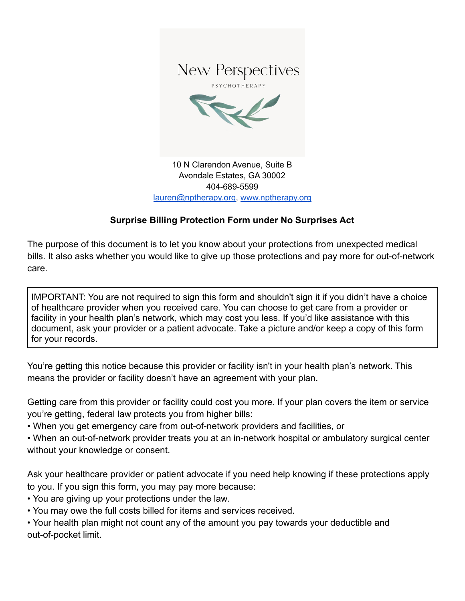

Avondale Estates, GA 30002 404-689-5599 [lauren@nptherapy.org,](mailto:lauren@nptherapy.org) [www.nptherapy.org](http://www.nptherapy.org)

# **Surprise Billing Protection Form under No Surprises Act**

The purpose of this document is to let you know about your protections from unexpected medical bills. It also asks whether you would like to give up those protections and pay more for out-of-network care.

IMPORTANT: You are not required to sign this form and shouldn't sign it if you didn't have a choice of healthcare provider when you received care. You can choose to get care from a provider or facility in your health plan's network, which may cost you less. If you'd like assistance with this document, ask your provider or a patient advocate. Take a picture and/or keep a copy of this form for your records.

You're getting this notice because this provider or facility isn't in your health plan's network. This means the provider or facility doesn't have an agreement with your plan.

Getting care from this provider or facility could cost you more. If your plan covers the item or service you're getting, federal law protects you from higher bills:

• When you get emergency care from out-of-network providers and facilities, or

• When an out-of-network provider treats you at an in-network hospital or ambulatory surgical center without your knowledge or consent.

Ask your healthcare provider or patient advocate if you need help knowing if these protections apply to you. If you sign this form, you may pay more because:

• You are giving up your protections under the law.

• You may owe the full costs billed for items and services received.

• Your health plan might not count any of the amount you pay towards your deductible and out-of-pocket limit.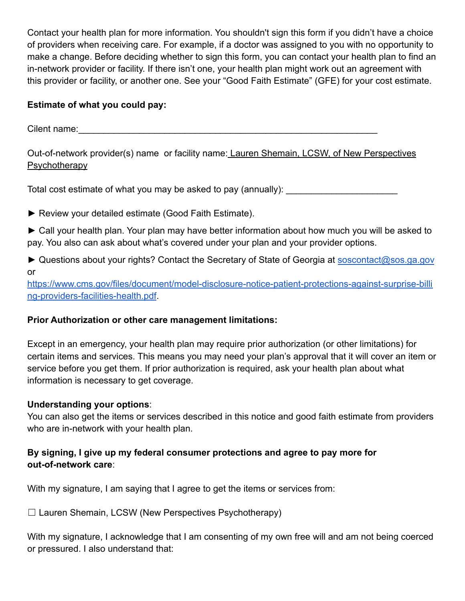Contact your health plan for more information. You shouldn't sign this form if you didn't have a choice of providers when receiving care. For example, if a doctor was assigned to you with no opportunity to make a change. Before deciding whether to sign this form, you can contact your health plan to find an in-network provider or facility. If there isn't one, your health plan might work out an agreement with this provider or facility, or another one. See your "Good Faith Estimate" (GFE) for your cost estimate.

### **Estimate of what you could pay:**

Cilent name:\_\_\_\_\_\_\_\_\_\_\_\_\_\_\_\_\_\_\_\_\_\_\_\_\_\_\_\_\_\_\_\_\_\_\_\_\_\_\_\_\_\_\_\_\_\_\_\_\_\_\_\_\_\_\_\_\_\_\_

Out-of-network provider(s) name or facility name: Lauren Shemain, LCSW, of New Perspectives **Psychotherapy** 

Total cost estimate of what you may be asked to pay (annually):

- ► Review your detailed estimate (Good Faith Estimate).
- ► Call your health plan. Your plan may have better information about how much you will be asked to pay. You also can ask about what's covered under your plan and your provider options.
- ► Questions about your rights? Contact the Secretary of State of Georgia at [soscontact@sos.ga.gov](mailto:soscontact@sos.ga.gov) or

[https://www.cms.gov/files/document/model-disclosure-notice-patient-protections-against-surprise-billi](https://www.cms.gov/files/document/model-disclosure-notice-patient-protections-against-surprise-billing-providers-facilities-health.pdf) [ng-providers-facilities-health.pdf](https://www.cms.gov/files/document/model-disclosure-notice-patient-protections-against-surprise-billing-providers-facilities-health.pdf).

# **Prior Authorization or other care management limitations:**

Except in an emergency, your health plan may require prior authorization (or other limitations) for certain items and services. This means you may need your plan's approval that it will cover an item or service before you get them. If prior authorization is required, ask your health plan about what information is necessary to get coverage.

### **Understanding your options**:

You can also get the items or services described in this notice and good faith estimate from providers who are in-network with your health plan.

# **By signing, I give up my federal consumer protections and agree to pay more for out-of-network care**:

With my signature, I am saying that I agree to get the items or services from:

 $\Box$  Lauren Shemain, LCSW (New Perspectives Psychotherapy)

With my signature, I acknowledge that I am consenting of my own free will and am not being coerced or pressured. I also understand that: